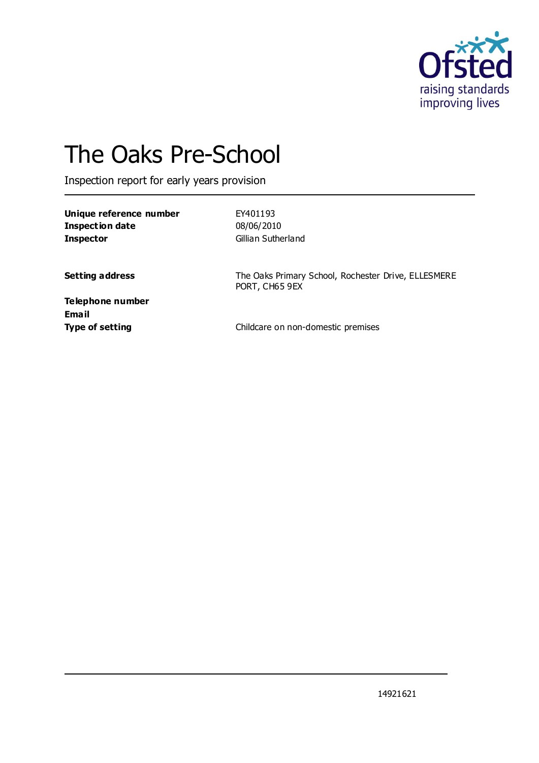

# The Oaks Pre-School

Inspection report for early years provision

**Unique reference number** EY401193 **Inspection date** 08/06/2010 **Inspector** Gillian Sutherland

**Setting address** The Oaks Primary School, Rochester Drive, ELLESMERE PORT, CH65 9EX

**Telephone number Email**

**Type of setting** Type of setting **Childcare on non-domestic premises**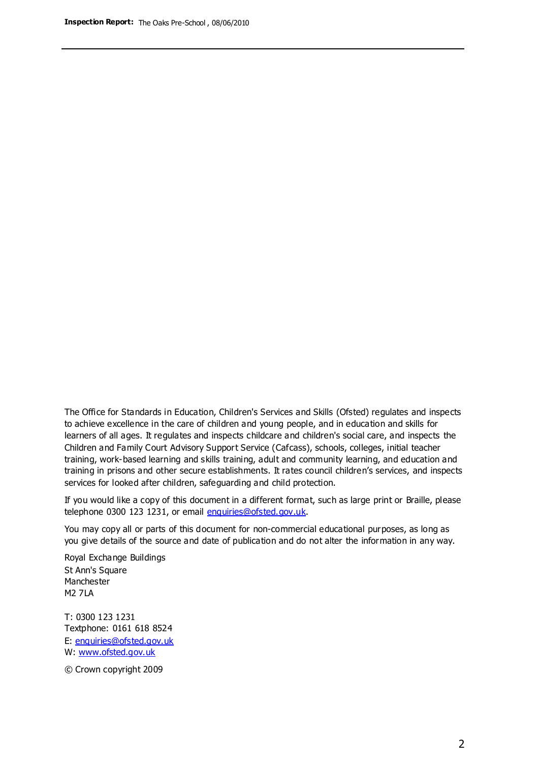The Office for Standards in Education, Children's Services and Skills (Ofsted) regulates and inspects to achieve excellence in the care of children and young people, and in education and skills for learners of all ages. It regulates and inspects childcare and children's social care, and inspects the Children and Family Court Advisory Support Service (Cafcass), schools, colleges, initial teacher training, work-based learning and skills training, adult and community learning, and education and training in prisons and other secure establishments. It rates council children's services, and inspects services for looked after children, safeguarding and child protection.

If you would like a copy of this document in a different format, such as large print or Braille, please telephone 0300 123 1231, or email enquiries@ofsted.gov.uk.

You may copy all or parts of this document for non-commercial educational purposes, as long as you give details of the source and date of publication and do not alter the information in any way.

Royal Exchange Buildings St Ann's Square Manchester M2 7LA

T: 0300 123 1231 Textphone: 0161 618 8524 E: enquiries@ofsted.gov.uk W: [www.ofsted.gov.uk](http://www.ofsted.gov.uk/)

© Crown copyright 2009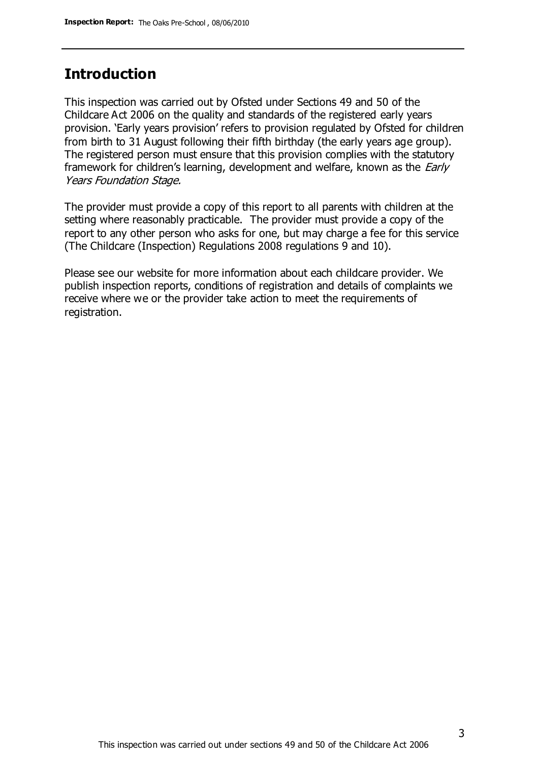## **Introduction**

This inspection was carried out by Ofsted under Sections 49 and 50 of the Childcare Act 2006 on the quality and standards of the registered early years provision. 'Early years provision' refers to provision regulated by Ofsted for children from birth to 31 August following their fifth birthday (the early years age group). The registered person must ensure that this provision complies with the statutory framework for children's learning, development and welfare, known as the *Early* Years Foundation Stage.

The provider must provide a copy of this report to all parents with children at the setting where reasonably practicable. The provider must provide a copy of the report to any other person who asks for one, but may charge a fee for this service (The Childcare (Inspection) Regulations 2008 regulations 9 and 10).

Please see our website for more information about each childcare provider. We publish inspection reports, conditions of registration and details of complaints we receive where we or the provider take action to meet the requirements of registration.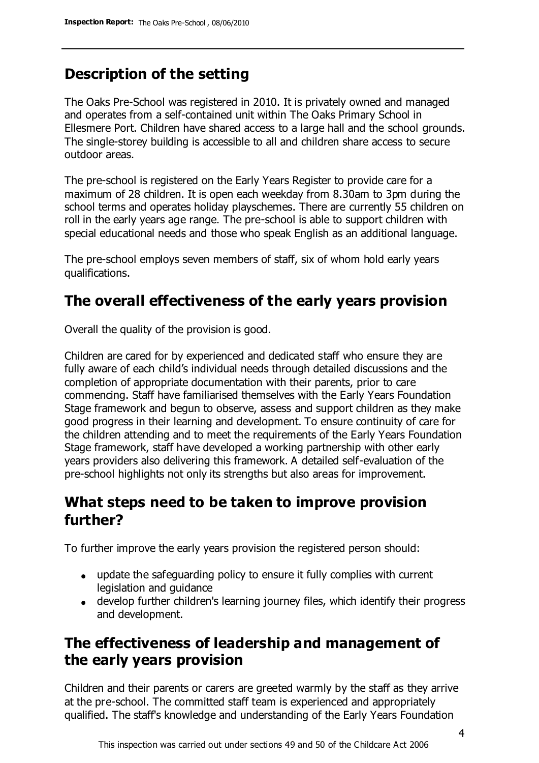# **Description of the setting**

The Oaks Pre-School was registered in 2010. It is privately owned and managed and operates from a self-contained unit within The Oaks Primary School in Ellesmere Port. Children have shared access to a large hall and the school grounds. The single-storey building is accessible to all and children share access to secure outdoor areas.

The pre-school is registered on the Early Years Register to provide care for a maximum of 28 children. It is open each weekday from 8.30am to 3pm during the school terms and operates holiday playschemes. There are currently 55 children on roll in the early years age range. The pre-school is able to support children with special educational needs and those who speak English as an additional language.

The pre-school employs seven members of staff, six of whom hold early years qualifications.

# **The overall effectiveness of the early years provision**

Overall the quality of the provision is good.

Children are cared for by experienced and dedicated staff who ensure they are fully aware of each child's individual needs through detailed discussions and the completion of appropriate documentation with their parents, prior to care commencing. Staff have familiarised themselves with the Early Years Foundation Stage framework and begun to observe, assess and support children as they make good progress in their learning and development. To ensure continuity of care for the children attending and to meet the requirements of the Early Years Foundation Stage framework, staff have developed a working partnership with other early years providers also delivering this framework. A detailed self-evaluation of the pre-school highlights not only its strengths but also areas for improvement.

## **What steps need to be taken to improve provision further?**

To further improve the early years provision the registered person should:

- update the safeguarding policy to ensure it fully complies with current legislation and guidance
- develop further children's learning journey files, which identify their progress and development.

# **The effectiveness of leadership and management of the early years provision**

Children and their parents or carers are greeted warmly by the staff as they arrive at the pre-school. The committed staff team is experienced and appropriately qualified. The staff's knowledge and understanding of the Early Years Foundation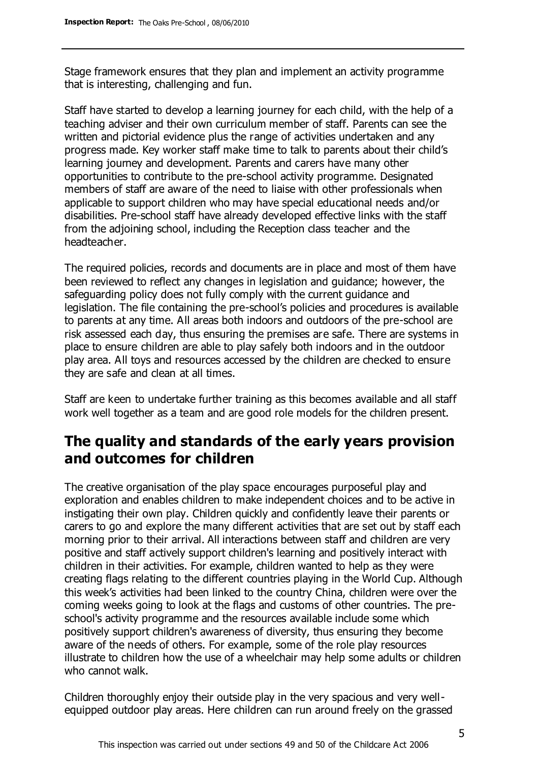Stage framework ensures that they plan and implement an activity programme that is interesting, challenging and fun.

Staff have started to develop a learning journey for each child, with the help of a teaching adviser and their own curriculum member of staff. Parents can see the written and pictorial evidence plus the range of activities undertaken and any progress made. Key worker staff make time to talk to parents about their child's learning journey and development. Parents and carers have many other opportunities to contribute to the pre-school activity programme. Designated members of staff are aware of the need to liaise with other professionals when applicable to support children who may have special educational needs and/or disabilities. Pre-school staff have already developed effective links with the staff from the adjoining school, including the Reception class teacher and the headteacher.

The required policies, records and documents are in place and most of them have been reviewed to reflect any changes in legislation and guidance; however, the safeguarding policy does not fully comply with the current guidance and legislation. The file containing the pre-school's policies and procedures is available to parents at any time. All areas both indoors and outdoors of the pre-school are risk assessed each day, thus ensuring the premises are safe. There are systems in place to ensure children are able to play safely both indoors and in the outdoor play area. All toys and resources accessed by the children are checked to ensure they are safe and clean at all times.

Staff are keen to undertake further training as this becomes available and all staff work well together as a team and are good role models for the children present.

# **The quality and standards of the early years provision and outcomes for children**

The creative organisation of the play space encourages purposeful play and exploration and enables children to make independent choices and to be active in instigating their own play. Children quickly and confidently leave their parents or carers to go and explore the many different activities that are set out by staff each morning prior to their arrival. All interactions between staff and children are very positive and staff actively support children's learning and positively interact with children in their activities. For example, children wanted to help as they were creating flags relating to the different countries playing in the World Cup. Although this week's activities had been linked to the country China, children were over the coming weeks going to look at the flags and customs of other countries. The preschool's activity programme and the resources available include some which positively support children's awareness of diversity, thus ensuring they become aware of the needs of others. For example, some of the role play resources illustrate to children how the use of a wheelchair may help some adults or children who cannot walk.

Children thoroughly enjoy their outside play in the very spacious and very wellequipped outdoor play areas. Here children can run around freely on the grassed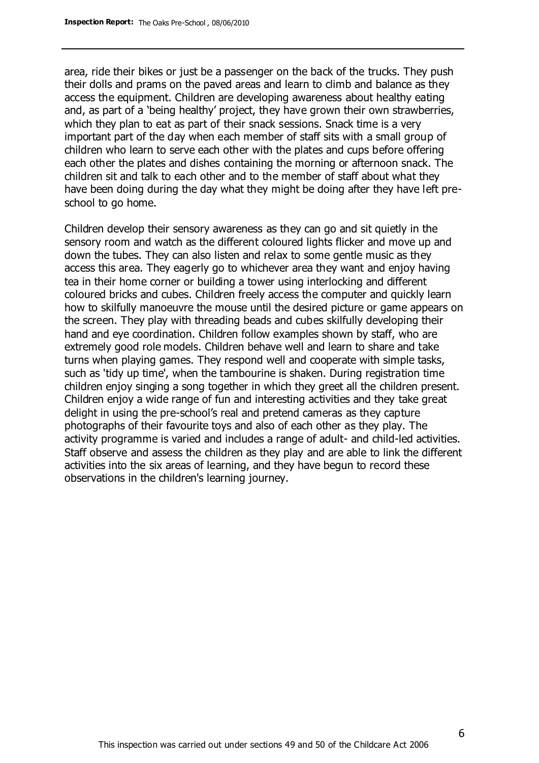area, ride their bikes or just be a passenger on the back of the trucks. They push their dolls and prams on the paved areas and learn to climb and balance as they access the equipment. Children are developing awareness about healthy eating and, as part of a 'being healthy' project, they have grown their own strawberries, which they plan to eat as part of their snack sessions. Snack time is a very important part of the day when each member of staff sits with a small group of children who learn to serve each other with the plates and cups before offering each other the plates and dishes containing the morning or afternoon snack. The children sit and talk to each other and to the member of staff about what they have been doing during the day what they might be doing after they have left preschool to go home.

Children develop their sensory awareness as they can go and sit quietly in the sensory room and watch as the different coloured lights flicker and move up and down the tubes. They can also listen and relax to some gentle music as they access this area. They eagerly go to whichever area they want and enjoy having tea in their home corner or building a tower using interlocking and different coloured bricks and cubes. Children freely access the computer and quickly learn how to skilfully manoeuvre the mouse until the desired picture or game appears on the screen. They play with threading beads and cubes skilfully developing their hand and eye coordination. Children follow examples shown by staff, who are extremely good role models. Children behave well and learn to share and take turns when playing games. They respond well and cooperate with simple tasks, such as 'tidy up time', when the tambourine is shaken. During registration time children enjoy singing a song together in which they greet all the children present. Children enjoy a wide range of fun and interesting activities and they take great delight in using the pre-school's real and pretend cameras as they capture photographs of their favourite toys and also of each other as they play. The activity programme is varied and includes a range of adult- and child-led activities. Staff observe and assess the children as they play and are able to link the different activities into the six areas of learning, and they have begun to record these observations in the children's learning journey.